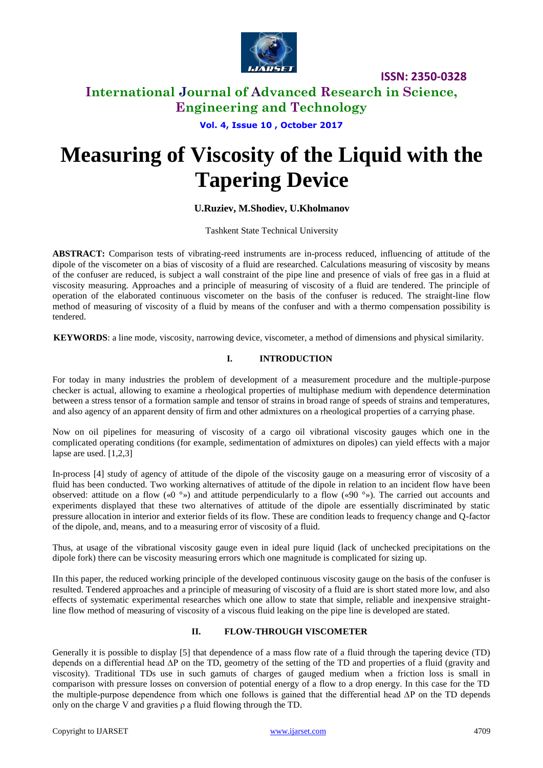

**ISSN: 2350-0328**

### **International Journal of Advanced Research in Science, Engineering and Technology**

**Vol. 4, Issue 10 , October 2017**

# **Measuring of Viscosity of the Liquid with the Tapering Device**

#### **U.Ruziev, M.Shodiev, U.Kholmanov**

Tashkent State Technical University

**ABSTRACT:** Comparison tests of vibrating-reed instruments are in-process reduced, influencing of attitude of the dipole of the viscometer on a bias of viscosity of a fluid are researched. Calculations measuring of viscosity by means of the confuser are reduced, is subject a wall constraint of the pipe line and presence of vials of free gas in a fluid at viscosity measuring. Approaches and a principle of measuring of viscosity of a fluid are tendered. The principle of operation of the elaborated continuous viscometer on the basis of the confuser is reduced. The straight-line flow method of measuring of viscosity of a fluid by means of the confuser and with a thermo compensation possibility is tendered.

**KEYWORDS**: a line mode, viscosity, narrowing device, viscometer, a method of dimensions and physical similarity.

#### **I. INTRODUCTION**

For today in many industries the problem of development of a measurement procedure and the multiple-purpose checker is actual, allowing to examine a rheological properties of multiphase medium with dependence determination between a stress tensor of a formation sample and tensor of strains in broad range of speeds of strains and temperatures, and also agency of an apparent density of firm and other admixtures on a rheological properties of a carrying phase.

Now on oil pipelines for measuring of viscosity of a cargo oil vibrational viscosity gauges which one in the complicated operating conditions (for example, sedimentation of admixtures on dipoles) can yield effects with a major lapse are used. [1,2,3]

In-process [4] study of agency of attitude of the dipole of the viscosity gauge on a measuring error of viscosity of a fluid has been conducted. Two working alternatives of attitude of the dipole in relation to an incident flow have been observed: attitude on a flow («0 °») and attitude perpendicularly to a flow («90 °»). The carried out accounts and experiments displayed that these two alternatives of attitude of the dipole are essentially discriminated by static pressure allocation in interior and exterior fields of its flow. These are condition leads to frequency change and Q-factor of the dipole, and, means, and to a measuring error of viscosity of a fluid.

Thus, at usage of the vibrational viscosity gauge even in ideal pure liquid (lack of unchecked precipitations on the dipole fork) there can be viscosity measuring errors which one magnitude is complicated for sizing up.

IIn this paper, the reduced working principle of the developed continuous viscosity gauge on the basis of the confuser is resulted. Tendered approaches and a principle of measuring of viscosity of a fluid are is short stated more low, and also effects of systematic experimental researches which one allow to state that simple, reliable and inexpensive straightline flow method of measuring of viscosity of a viscous fluid leaking on the pipe line is developed are stated.

#### **II. FLOW-THROUGH VISCOMETER**

Generally it is possible to display [5] that dependence of a mass flow rate of a fluid through the tapering device (TD) depends on a differential head ∆Р on the TD, geometry of the setting of the TD and properties of a fluid (gravity and viscosity). Traditional TDs use in such gamuts of charges of gauged medium when a friction loss is small in comparison with pressure losses on conversion of potential energy of a flow to a drop energy. In this case for the TD the multiple-purpose dependence from which one follows is gained that the differential head ∆Р on the TD depends only on the charge V and gravities  $\rho$  a fluid flowing through the TD.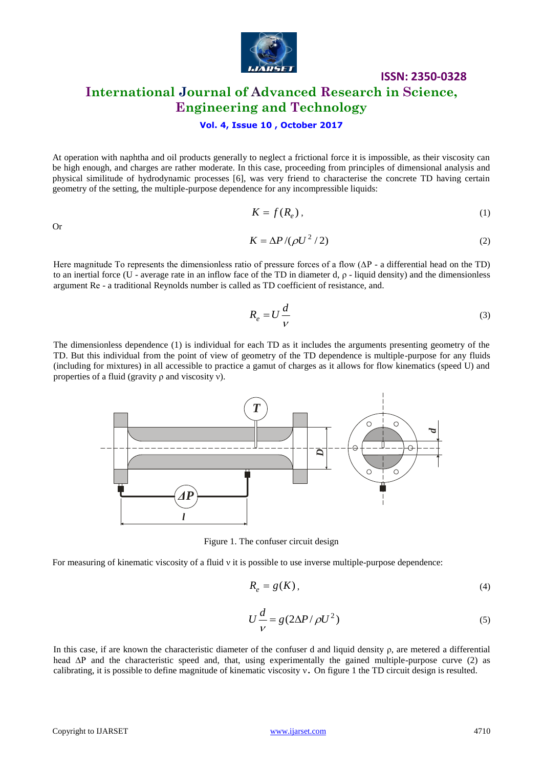

# **ISSN: 2350-0328 International Journal of Advanced Research in Science, Engineering and Technology**

#### **Vol. 4, Issue 10 , October 2017**

At operation with naphtha and oil products generally to neglect a frictional force it is impossible, as their viscosity can be high enough, and charges are rather moderate. In this case, proceeding from principles of dimensional analysis and physical similitude of hydrodynamic processes [6], was very friend to characterise the concrete TD having certain geometry of the setting, the multiple-purpose dependence for any incompressible liquids:

Or

$$
K = f(R_e), \tag{1}
$$

$$
K = \Delta P / (\rho U^2 / 2) \tag{2}
$$

Here magnitude To represents the dimensionless ratio of pressure forces of a flow (∆Р - a differential head on the TD) to an inertial force (U - average rate in an inflow face of the TD in diameter d,  $ρ$  - liquid density) and the dimensionless argument Rе - a traditional Reynolds number is called as TD coefficient of resistance, and.

$$
R_e = U \frac{d}{V} \tag{3}
$$

The dimensionless dependence (1) is individual for each TD as it includes the arguments presenting geometry of the TD. But this individual from the point of view of geometry of the TD dependence is multiple-purpose for any fluids (including for mixtures) in all accessible to practice a gamut of charges as it allows for flow kinematics (speed U) and properties of a fluid (gravity ρ and viscosity ν).



Figure 1. The confuser circuit design

For measuring of kinematic viscosity of a fluid ν it is possible to use inverse multiple-purpose dependence:

$$
R_e = g(K),\tag{4}
$$

$$
U\frac{d}{V} = g(2\Delta P/\rho U^2)
$$
\n(5)

In this case, if are known the characteristic diameter of the confuser d and liquid density  $\rho$ , are metered a differential head ∆P and the characteristic speed and, that, using experimentally the gained multiple-purpose curve (2) as calibrating, it is possible to define magnitude of kinematic viscosity ν**.** On figure 1 the TD circuit design is resulted.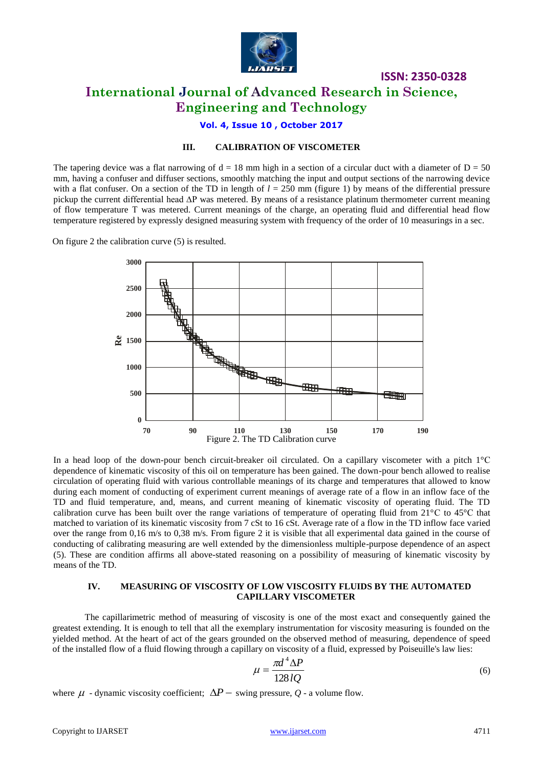

**ISSN: 2350-0328 International Journal of Advanced Research in Science, Engineering and Technology**

**Vol. 4, Issue 10 , October 2017**

#### **III. CALIBRATION OF VISCOMETER**

The tapering device was a flat narrowing of  $d = 18$  mm high in a section of a circular duct with a diameter of  $D = 50$ mm, having a confuser and diffuser sections, smoothly matching the input and output sections of the narrowing device with a flat confuser. On a section of the TD in length of  $l = 250$  mm (figure 1) by means of the differential pressure pickup the current differential head ∆Р was metered. By means of a resistance platinum thermometer current meaning of flow temperature Т was metered. Current meanings of the charge, an operating fluid and differential head flow temperature registered by expressly designed measuring system with frequency of the order of 10 measurings in a sec.

On figure 2 the calibration curve (5) is resulted.



In a head loop of the down-pour bench circuit-breaker oil circulated. On a capillary viscometer with a pitch  $1^{\circ}$ C dependence of kinematic viscosity of this oil on temperature has been gained. The down-pour bench allowed to realise circulation of operating fluid with various controllable meanings of its charge and temperatures that allowed to know during each moment of conducting of experiment current meanings of average rate of a flow in an inflow face of the TD and fluid temperature, and, means, and current meaning of kinematic viscosity of operating fluid. The TD calibration curve has been built over the range variations of temperature of operating fluid from 21°С to 45°С that matched to variation of its kinematic viscosity from 7 cSt to 16 cSt. Average rate of a flow in the TD inflow face varied over the range from 0,16 m/s to 0,38 m/s. From figure 2 it is visible that all experimental data gained in the course of conducting of calibrating measuring are well extended by the dimensionless multiple-purpose dependence of an aspect (5). These are condition affirms all above-stated reasoning on a possibility of measuring of kinematic viscosity by means of the TD.

#### **IV. MEASURING OF VISCOSITY OF LOW VISCOSITY FLUIDS BY THE AUTOMATED CAPILLARY VISCOMETER**

The capillarimetric method of measuring of viscosity is one of the most exact and consequently gained the greatest extending. It is enough to tell that all the exemplary instrumentation for viscosity measuring is founded on the yielded method. At the heart of act of the gears grounded on the observed method of measuring, dependence of speed of the installed flow of a fluid flowing through a capillary on viscosity of a fluid, expressed by Poiseuille's law lies:

$$
\mu = \frac{\pi d^4 \Delta P}{128 lQ} \tag{6}
$$

where  $\mu$  - dynamic viscosity coefficient;  $\Delta P$  – swing pressure,  $Q$  - a volume flow.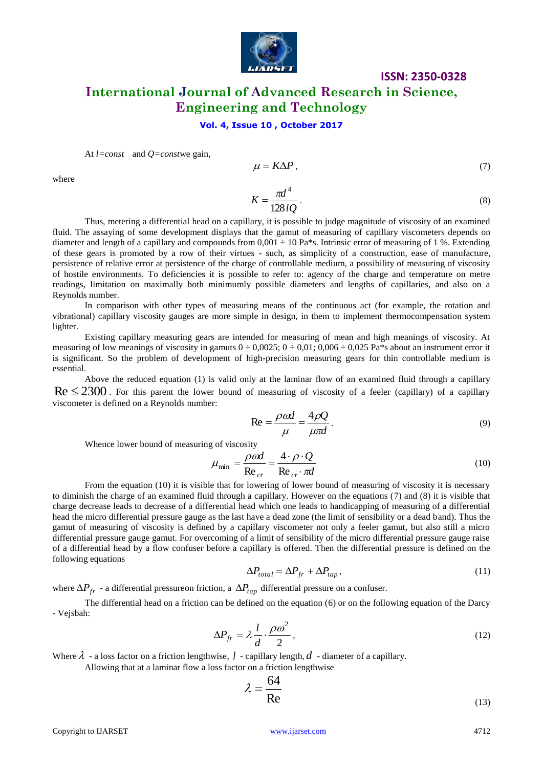

# **ISSN: 2350-0328 International Journal of Advanced Research in Science, Engineering and Technology**

#### **Vol. 4, Issue 10 , October 2017**

At 
$$
l = const
$$
 and  $Q = const$  we gain,

$$
\mu = K \Delta P, \tag{7}
$$

where

$$
K = \frac{\pi d^4}{128lQ} \,. \tag{8}
$$

Thus, metering a differential head on a capillary, it is possible to judge magnitude of viscosity of an examined fluid. The assaying of some development displays that the gamut of measuring of capillary viscometers depends on diameter and length of a capillary and compounds from  $0.001 \div 10$  Pa\*s. Intrinsic error of measuring of 1 %. Extending of these gears is promoted by a row of their virtues - such, as simplicity of a construction, ease of manufacture, persistence of relative error at persistence of the charge of controllable medium, a possibility of measuring of viscosity of hostile environments. To deficiencies it is possible to refer to: agency of the charge and temperature on metre readings, limitation on maximally both minimumly possible diameters and lengths of capillaries, and also on a Reynolds number.

In comparison with other types of measuring means of the continuous act (for example, the rotation and vibrational) capillary viscosity gauges are more simple in design, in them to implement thermocompensation system lighter.

Existing capillary measuring gears are intended for measuring of mean and high meanings of viscosity. At measuring of low meanings of viscosity in gamuts  $0 \div 0.0025$ ;  $0 \div 0.01$ ;  $0.006 \div 0.025$  Pa\*s about an instrument error it is significant. So the problem of development of high-precision measuring gears for thin controllable medium is essential.

Above the reduced equation (1) is valid only at the laminar flow of an examined fluid through a capillary  $Re \le 2300$ . For this parent the lower bound of measuring of viscosity of a feeler (capillary) of a capillary viscometer is defined on a Reynolds number:

$$
\text{Re} = \frac{\rho \omega d}{\mu} = \frac{4\rho Q}{\mu \pi d}.
$$
 (9)

Whence lower bound of measuring of viscosity

$$
\mu_{\min} = \frac{\rho \omega d}{\text{Re}_{cr}} = \frac{4 \cdot \rho \cdot Q}{\text{Re}_{cr} \cdot \pi d} \tag{10}
$$

From the equation (10) it is visible that for lowering of lower bound of measuring of viscosity it is necessary to diminish the charge of an examined fluid through a capillary. However on the equations (7) and (8) it is visible that charge decrease leads to decrease of a differential head which one leads to handicapping of measuring of a differential head the micro differential pressure gauge as the last have a dead zone (the limit of sensibility or a dead band). Thus the gamut of measuring of viscosity is defined by a capillary viscometer not only a feeler gamut, but also still a micro differential pressure gauge gamut. For overcoming of a limit of sensibility of the micro differential pressure gauge raise of a differential head by a flow confuser before a capillary is offered. Then the differential pressure is defined on the following equations

$$
\Delta P_{total} = \Delta P_{fr} + \Delta P_{tap},\tag{11}
$$

where  $\Delta P_{fr}$  - a differential pressureon friction, a  $\Delta P_{tap}$  differential pressure on a confuser.

The differential head on a friction can be defined on the equation (6) or on the following equation of the Darcy - Vejsbah:

$$
\Delta P_{fr} = \lambda \frac{l}{d} \cdot \frac{\rho \omega^2}{2},\tag{12}
$$

Where  $\lambda$  - a loss factor on a friction lengthwise,  $l$  - capillary length,  $d$  - diameter of a capillary.

Allowing that at a laminar flow a loss factor on a friction lengthwise

$$
\lambda = \frac{64}{\text{Re}}\tag{13}
$$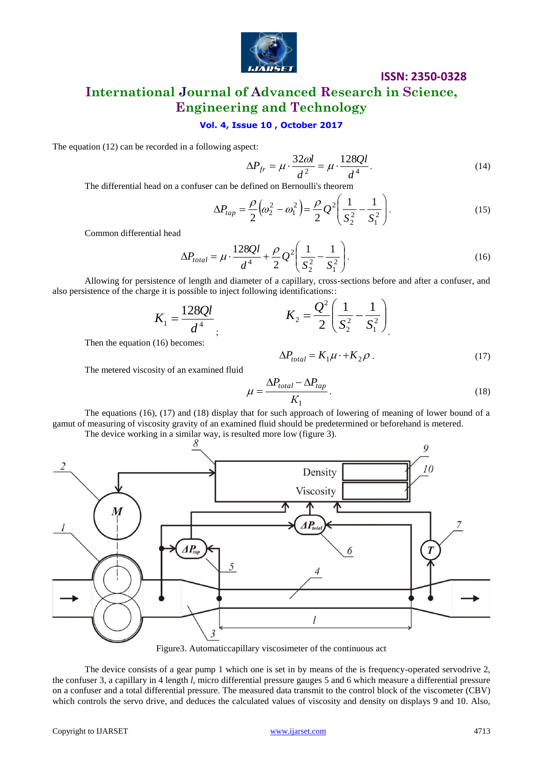

### **ISSN: 2350-0328**

# **International Journal of Advanced Research in Science, Engineering and Technology**

#### **Vol. 4, Issue 10 , October 2017**

The equation (12) can be recorded in a following aspect:

$$
\Delta P_{fr} = \mu \cdot \frac{32\omega l}{d^2} = \mu \cdot \frac{128Ql}{d^4}.
$$
\n(14)

The differential head on a confuser can be defined on Bernoulli's theorem

$$
\Delta P_{tap} = \frac{\rho}{2} \left( \omega_2^2 - \omega_1^2 \right) = \frac{\rho}{2} Q^2 \left( \frac{1}{S_2^2} - \frac{1}{S_1^2} \right).
$$
 (15)

Common differential head

$$
\Delta P_{total} = \mu \cdot \frac{128Ql}{d^4} + \frac{\rho}{2} Q^2 \left( \frac{1}{S_2^2} - \frac{1}{S_1^2} \right).
$$
 (16)

Allowing for persistence of length and diameter of a capillary, cross-sections before and after a confuser, and also persistence of the charge it is possible to inject following identifications::

$$
K_1 = \frac{128Ql}{d^4}
$$
,  $K_2 = \frac{Q^2}{2} \left( \frac{1}{S_2^2} - \frac{1}{S_1^2} \right)$ 

Then the equation (16) becomes:

$$
\Delta P_{total} = K_1 \mu \cdot + K_2 \rho \tag{17}
$$

The metered viscosity of an examined fluid

$$
\mu = \frac{\Delta P_{total} - \Delta P_{tap}}{K_1}.
$$
\n(18)

The equations (16), (17) and (18) display that for such approach of lowering of meaning of lower bound of a gamut of measuring of viscosity gravity of an examined fluid should be predetermined or beforehand is metered. The device working in a similar way, is resulted more low (figure 3).



Figure3. Automaticcapillary viscosimeter of the continuous act

The device consists of a gear pump 1 which one is set in by means of the is frequency-operated servodrive 2, the confuser 3, a capillary in 4 length *l*, micro differential pressure gauges 5 and 6 which measure a differential pressure on a confuser and a total differential pressure. The measured data transmit to the control block of the viscometer (CBV) which controls the servo drive, and deduces the calculated values of viscosity and density on displays 9 and 10. Also,